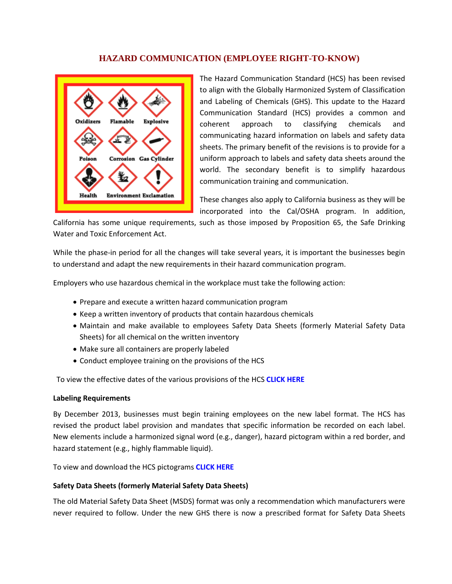## **HAZARD COMMUNICATION (EMPLOYEE RIGHT-TO-KNOW)**



The Hazard Communication Standard (HCS) has been revised to align with the Globally Harmonized System of Classification and Labeling of Chemicals (GHS). This update to the Hazard Communication Standard (HCS) provides a common and coherent approach to classifying chemicals and communicating hazard information on labels and safety data sheets. The primary benefit of the revisions is to provide for a uniform approach to labels and safety data sheets around the world. The secondary benefit is to simplify hazardous communication training and communication.

These changes also apply to California business as they will be incorporated into the Cal/OSHA program. In addition,

California has some unique requirements, such as those imposed by Proposition 65, the Safe Drinking Water and Toxic Enforcement Act.

While the phase-in period for all the changes will take several years, it is important the businesses begin to understand and adapt the new requirements in their hazard communication program.

Employers who use hazardous chemical in the workplace must take the following action:

- Prepare and execute a written hazard communication program
- Keep a written inventory of products that contain hazardous chemicals
- Maintain and make available to employees Safety Data Sheets (formerly Material Safety Data Sheets) for all chemical on the written inventory
- Make sure all containers are properly labeled
- Conduct employee training on the provisions of the HCS

To view the effective dates of the various provisions of the HCS **[CLICK HERE](http://www.osha.gov/dsg/hazcom/effectivedates.html)**

## **Labeling Requirements**

By December 2013, businesses must begin training employees on the new label format. The HCS has revised the product label provision and mandates that specific information be recorded on each label. New elements include a harmonized signal word (e.g., danger), hazard pictogram within a red border, and hazard statement (e.g., highly flammable liquid).

To view and download the HCS pictograms **[CLICK HERE](http://www.osha.gov/dsg/hazcom/pictograms/index.html)**

## **Safety Data Sheets (formerly Material Safety Data Sheets)**

The old Material Safety Data Sheet (MSDS) format was only a recommendation which manufacturers were never required to follow. Under the new GHS there is now a prescribed format for Safety Data Sheets